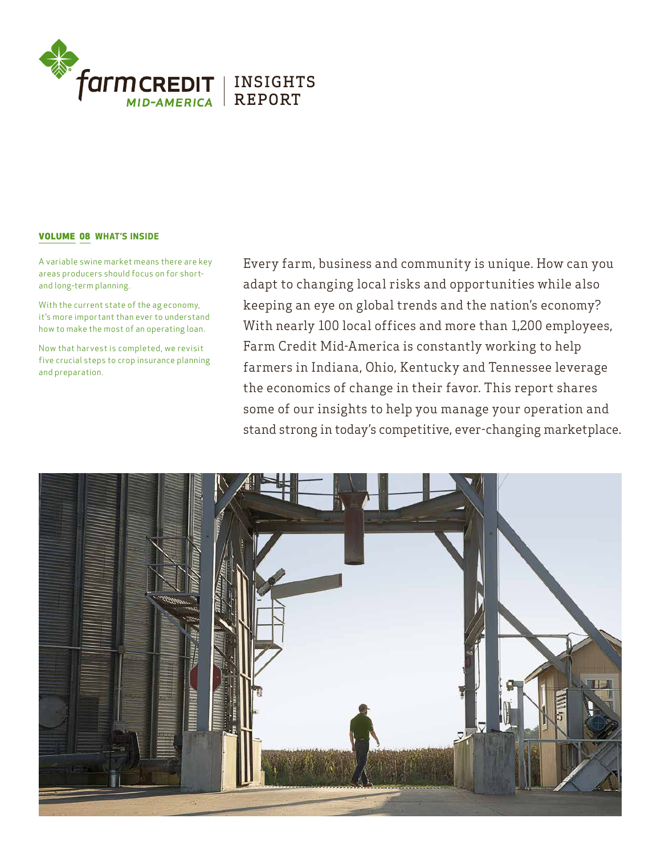

# VOLUME 08 WHAT'S INSIDE

A variable swine market means there are key areas producers should focus on for shortand long-term planning.

With the current state of the ag economy, it's more important than ever to understand how to make the most of an operating loan.

Now that har vest is completed, we revisit five crucial steps to crop insurance planning and preparation.

Every farm, business and community is unique. How can you adapt to changing local risks and opportunities while also keeping an eye on global trends and the nation's economy? With nearly 100 local offices and more than 1,200 employees, Farm Credit Mid-America is constantly working to help farmers in Indiana, Ohio, Kentucky and Tennessee leverage the economics of change in their favor. This report shares some of our insights to help you manage your operation and stand strong in today's competitive, ever-changing marketplace.

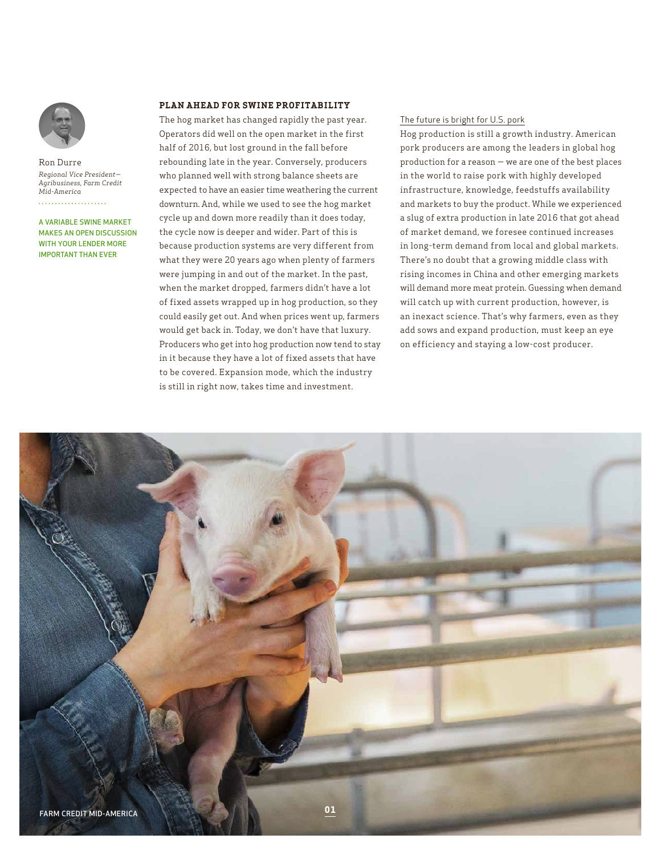

Ron Durre *Regional Vice President— Agribusiness, Farm Credit Mid-America*

A VARIABLE SWINE MARKET MAKES AN OPEN DISCUSSION WITH YOUR LENDER MORE IMPORTANT THAN EVER

# **PLAN AHEAD FOR SWINE PROFITABILITY**

The hog market has changed rapidly the past year. Operators did well on the open market in the first half of 2016, but lost ground in the fall before rebounding late in the year. Conversely, producers who planned well with strong balance sheets are expected to have an easier time weathering the current downturn. And, while we used to see the hog market cycle up and down more readily than it does today, the cycle now is deeper and wider. Part of this is because production systems are very different from what they were 20 years ago when plenty of farmers were jumping in and out of the market. In the past, when the market dropped, farmers didn't have a lot of fixed assets wrapped up in hog production, so they could easily get out. And when prices went up, farmers would get back in. Today, we don't have that luxury. Producers who get into hog production now tend to stay in it because they have a lot of fixed assets that have to be covered. Expansion mode, which the industry is still in right now, takes time and investment.

# The future is bright for U.S. pork

Hog production is still a growth industry. American pork producers are among the leaders in global hog production for a reason — we are one of the best places in the world to raise pork with highly developed infrastructure, knowledge, feedstuffs availability and markets to buy the product. While we experienced a slug of extra production in late 2016 that got ahead of market demand, we foresee continued increases in long-term demand from local and global markets. There's no doubt that a growing middle class with rising incomes in China and other emerging markets will demand more meat protein. Guessing when demand will catch up with current production, however, is an inexact science. That's why farmers, even as they add sows and expand production, must keep an eye on efficiency and staying a low-cost producer.

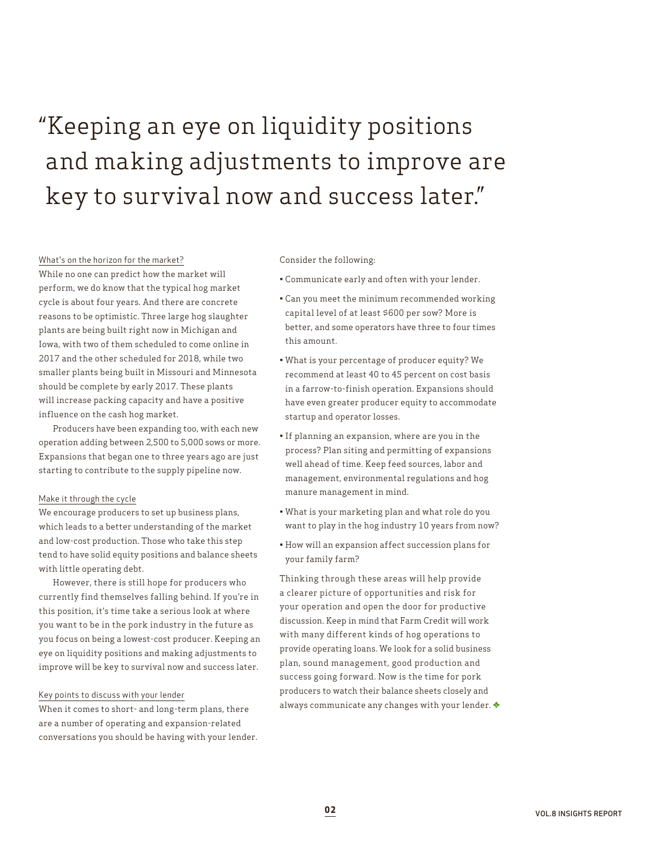# "Keeping an eye on liquidity positions and making adjustments to improve are key to survival now and success later."

#### What's on the horizon for the market?

While no one can predict how the market will perform, we do know that the typical hog market cycle is about four years. And there are concrete reasons to be optimistic. Three large hog slaughter plants are being built right now in Michigan and Iowa, with two of them scheduled to come online in 2017 and the other scheduled for 2018, while two smaller plants being built in Missouri and Minnesota should be complete by early 2017. These plants will increase packing capacity and have a positive influence on the cash hog market.

Producers have been expanding too, with each new operation adding between 2,500 to 5,000 sows or more. Expansions that began one to three years ago are just starting to contribute to the supply pipeline now.

#### Make it through the cycle

We encourage producers to set up business plans, which leads to a better understanding of the market and low-cost production. Those who take this step tend to have solid equity positions and balance sheets with little operating debt.

However, there is still hope for producers who currently find themselves falling behind. If you're in this position, it's time take a serious look at where you want to be in the pork industry in the future as you focus on being a lowest-cost producer. Keeping an eye on liquidity positions and making adjustments to improve will be key to survival now and success later.

## Key points to discuss with your lender

When it comes to short- and long-term plans, there are a number of operating and expansion-related conversations you should be having with your lender.

#### Consider the following:

- Communicate early and often with your lender.
- Can you meet the minimum recommended working capital level of at least \$600 per sow? More is better, and some operators have three to four times this amount.
- What is your percentage of producer equity? We recommend at least 40 to 45 percent on cost basis in a farrow-to-finish operation. Expansions should have even greater producer equity to accommodate startup and operator losses.
- If planning an expansion, where are you in the process? Plan siting and permitting of expansions well ahead of time. Keep feed sources, labor and management, environmental regulations and hog manure management in mind.
- What is your marketing plan and what role do you want to play in the hog industry 10 years from now?
- How will an expansion affect succession plans for your family farm?

Thinking through these areas will help provide a clearer picture of opportunities and risk for your operation and open the door for productive discussion. Keep in mind that Farm Credit will work with many different kinds of hog operations to provide operating loans. We look for a solid business plan, sound management, good production and success going forward. Now is the time for pork producers to watch their balance sheets closely and always communicate any changes with your lender.  $\blacklozenge$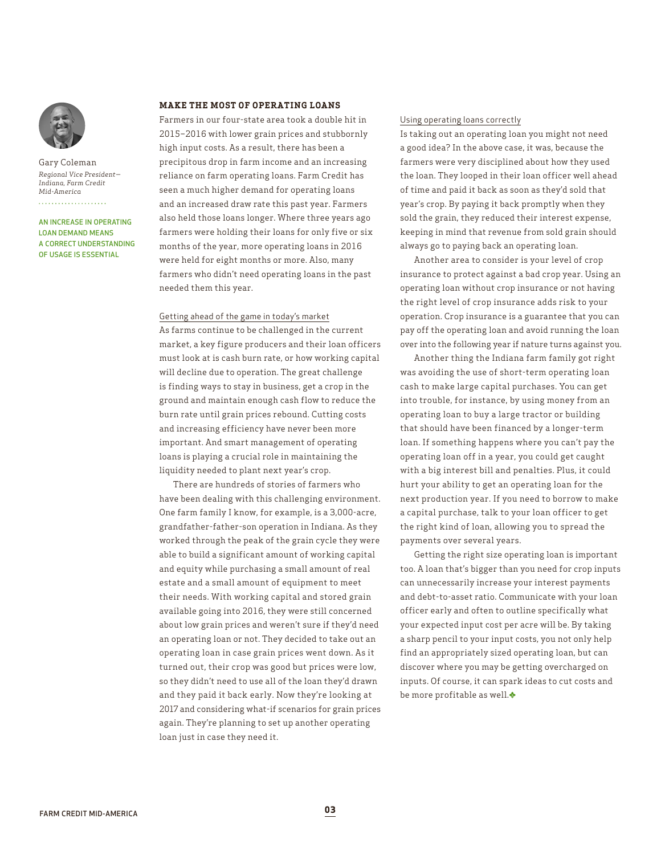

Gary Coleman *Regional Vice President— Indiana, Farm Credit Mid-America* . . . . . . . . . . . . . . . . . . .

AN INCREASE IN OPERATING LOAN DEMAND MEANS A CORRECT UNDERSTANDING OF USAGE IS ESSENTIAL

## **MAKE THE MOST OF OPERATING LOANS**

Farmers in our four-state area took a double hit in 2015–2016 with lower grain prices and stubbornly high input costs. As a result, there has been a precipitous drop in farm income and an increasing reliance on farm operating loans. Farm Credit has seen a much higher demand for operating loans and an increased draw rate this past year. Farmers also held those loans longer. Where three years ago farmers were holding their loans for only five or six months of the year, more operating loans in 2016 were held for eight months or more. Also, many farmers who didn't need operating loans in the past needed them this year.

#### Getting ahead of the game in today's market

As farms continue to be challenged in the current market, a key figure producers and their loan officers must look at is cash burn rate, or how working capital will decline due to operation. The great challenge is finding ways to stay in business, get a crop in the ground and maintain enough cash flow to reduce the burn rate until grain prices rebound. Cutting costs and increasing efficiency have never been more important. And smart management of operating loans is playing a crucial role in maintaining the liquidity needed to plant next year's crop.

There are hundreds of stories of farmers who have been dealing with this challenging environment. One farm family I know, for example, is a 3,000-acre, grandfather-father-son operation in Indiana. As they worked through the peak of the grain cycle they were able to build a significant amount of working capital and equity while purchasing a small amount of real estate and a small amount of equipment to meet their needs. With working capital and stored grain available going into 2016, they were still concerned about low grain prices and weren't sure if they'd need an operating loan or not. They decided to take out an operating loan in case grain prices went down. As it turned out, their crop was good but prices were low, so they didn't need to use all of the loan they'd drawn and they paid it back early. Now they're looking at 2017 and considering what-if scenarios for grain prices again. They're planning to set up another operating loan just in case they need it.

# Using operating loans correctly

Is taking out an operating loan you might not need a good idea? In the above case, it was, because the farmers were very disciplined about how they used the loan. They looped in their loan officer well ahead of time and paid it back as soon as they'd sold that year's crop. By paying it back promptly when they sold the grain, they reduced their interest expense, keeping in mind that revenue from sold grain should always go to paying back an operating loan.

Another area to consider is your level of crop insurance to protect against a bad crop year. Using an operating loan without crop insurance or not having the right level of crop insurance adds risk to your operation. Crop insurance is a guarantee that you can pay off the operating loan and avoid running the loan over into the following year if nature turns against you.

Another thing the Indiana farm family got right was avoiding the use of short-term operating loan cash to make large capital purchases. You can get into trouble, for instance, by using money from an operating loan to buy a large tractor or building that should have been financed by a longer-term loan. If something happens where you can't pay the operating loan off in a year, you could get caught with a big interest bill and penalties. Plus, it could hurt your ability to get an operating loan for the next production year. If you need to borrow to make a capital purchase, talk to your loan officer to get the right kind of loan, allowing you to spread the payments over several years.

Getting the right size operating loan is important too. A loan that's bigger than you need for crop inputs can unnecessarily increase your interest payments and debt-to-asset ratio. Communicate with your loan officer early and often to outline specifically what your expected input cost per acre will be. By taking a sharp pencil to your input costs, you not only help find an appropriately sized operating loan, but can discover where you may be getting overcharged on inputs. Of course, it can spark ideas to cut costs and be more profitable as well.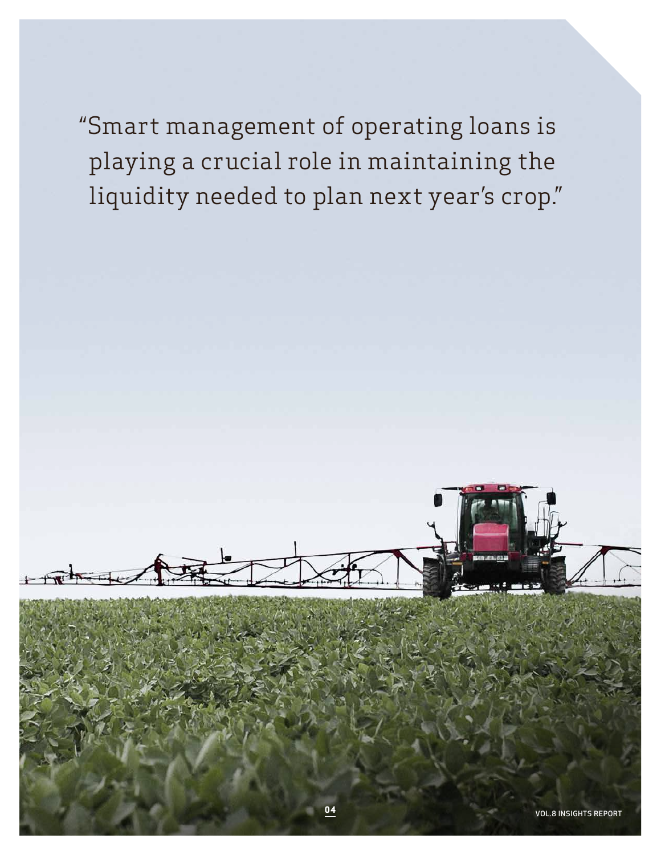"Smart management of operating loans is playing a crucial role in maintaining the liquidity needed to plan next year's crop."

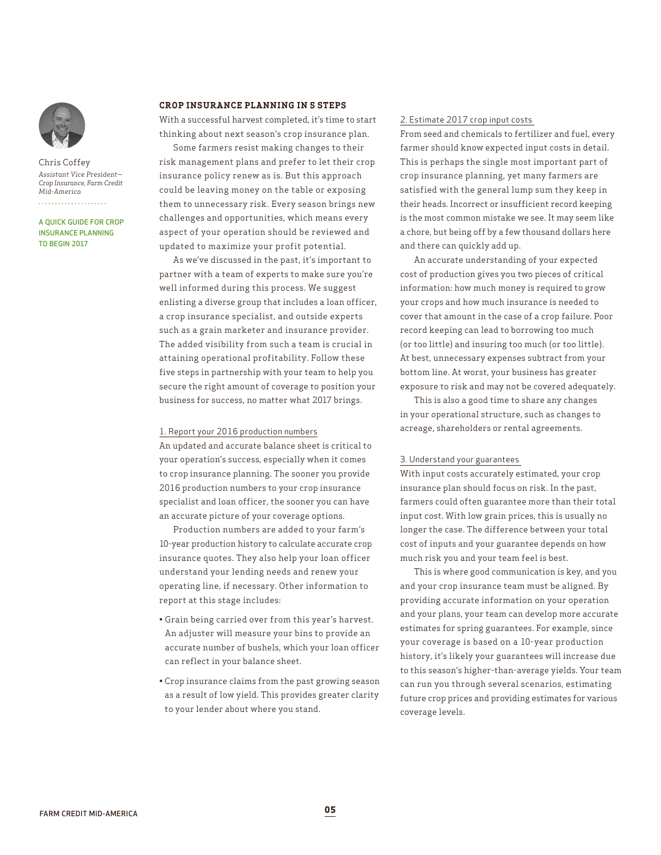

Chris Coffey *Assistant Vice President— Crop Insurance, Farm Credit Mid-America*

A QUICK GUIDE FOR CROP INSURANCE PLANNING TO BEGIN 2017

## **CROP INSURANCE PLANNING IN 5 STEPS**

With a successful harvest completed, it's time to start thinking about next season's crop insurance plan.

Some farmers resist making changes to their risk management plans and prefer to let their crop insurance policy renew as is. But this approach could be leaving money on the table or exposing them to unnecessary risk. Every season brings new challenges and opportunities, which means every aspect of your operation should be reviewed and updated to maximize your profit potential.

As we've discussed in the past, it's important to partner with a team of experts to make sure you're well informed during this process. We suggest enlisting a diverse group that includes a loan officer, a crop insurance specialist, and outside experts such as a grain marketer and insurance provider. The added visibility from such a team is crucial in attaining operational profitability. Follow these five steps in partnership with your team to help you secure the right amount of coverage to position your business for success, no matter what 2017 brings.

#### 1. Report your 2016 production numbers

An updated and accurate balance sheet is critical to your operation's success, especially when it comes to crop insurance planning. The sooner you provide 2016 production numbers to your crop insurance specialist and loan officer, the sooner you can have an accurate picture of your coverage options.

Production numbers are added to your farm's 10-year production history to calculate accurate crop insurance quotes. They also help your loan officer understand your lending needs and renew your operating line, if necessary. Other information to report at this stage includes:

- Grain being carried over from this year's harvest. An adjuster will measure your bins to provide an accurate number of bushels, which your loan officer can reflect in your balance sheet.
- Crop insurance claims from the past growing season as a result of low yield. This provides greater clarity to your lender about where you stand.

# 2. Estimate 2017 crop input costs

From seed and chemicals to fertilizer and fuel, every farmer should know expected input costs in detail. This is perhaps the single most important part of crop insurance planning, yet many farmers are satisfied with the general lump sum they keep in their heads. Incorrect or insufficient record keeping is the most common mistake we see. It may seem like a chore, but being off by a few thousand dollars here and there can quickly add up.

An accurate understanding of your expected cost of production gives you two pieces of critical information: how much money is required to grow your crops and how much insurance is needed to cover that amount in the case of a crop failure. Poor record keeping can lead to borrowing too much (or too little) and insuring too much (or too little). At best, unnecessary expenses subtract from your bottom line. At worst, your business has greater exposure to risk and may not be covered adequately.

This is also a good time to share any changes in your operational structure, such as changes to acreage, shareholders or rental agreements.

#### 3. Understand your guarantees

With input costs accurately estimated, your crop insurance plan should focus on risk. In the past, farmers could often guarantee more than their total input cost. With low grain prices, this is usually no longer the case. The difference between your total cost of inputs and your guarantee depends on how much risk you and your team feel is best.

This is where good communication is key, and you and your crop insurance team must be aligned. By providing accurate information on your operation and your plans, your team can develop more accurate estimates for spring guarantees. For example, since your coverage is based on a 10-year production history, it's likely your guarantees will increase due to this season's higher-than-average yields. Your team can run you through several scenarios, estimating future crop prices and providing estimates for various coverage levels.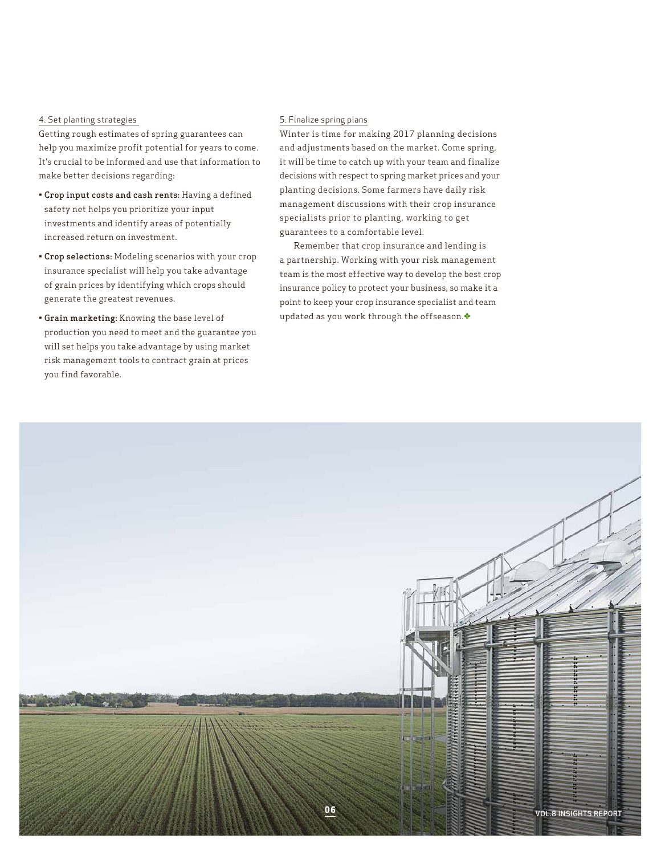# 4. Set planting strategies

Getting rough estimates of spring guarantees can help you maximize profit potential for years to come. It's crucial to be informed and use that information to make better decisions regarding:

- Crop input costs and cash rents: Having a defined safety net helps you prioritize your input investments and identify areas of potentially increased return on investment.
- Crop selections: Modeling scenarios with your crop insurance specialist will help you take advantage of grain prices by identifying which crops should generate the greatest revenues.
- Grain marketing: Knowing the base level of production you need to meet and the guarantee you will set helps you take advantage by using market risk management tools to contract grain at prices you find favorable.

# 5. Finalize spring plans

Winter is time for making 2017 planning decisions and adjustments based on the market. Come spring, it will be time to catch up with your team and finalize decisions with respect to spring market prices and your planting decisions. Some farmers have daily risk management discussions with their crop insurance specialists prior to planting, working to get guarantees to a comfortable level.

Remember that crop insurance and lending is a partnership. Working with your risk management team is the most effective way to develop the best crop insurance policy to protect your business, so make it a point to keep your crop insurance specialist and team updated as you work through the offseason.